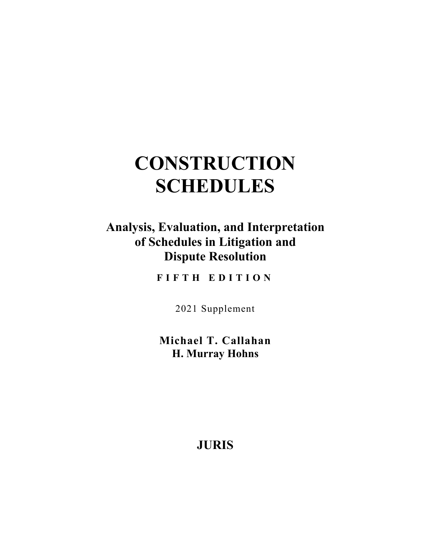# **CONSTRUCTION SCHEDULES**

# **Analysis, Evaluation, and Interpretation of Schedules in Litigation and Dispute Resolution**

**FIFTH EDITION** 

2021 Supplement

**Michael T. Callahan H. Murray Hohns** 

**JURIS**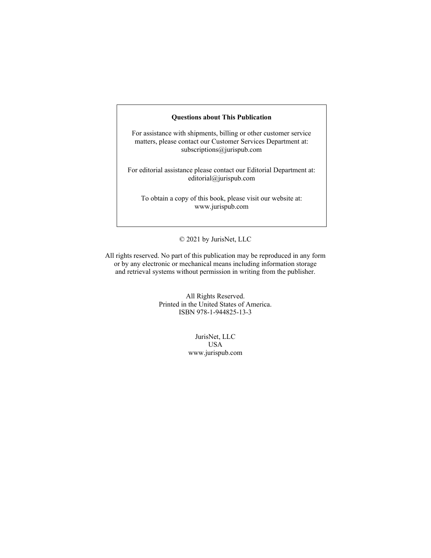#### **Questions about This Publication**

For assistance with shipments, billing or other customer service matters, please contact our Customer Services Department at: subscriptions@jurispub.com

For editorial assistance please contact our Editorial Department at: editorial@jurispub.com

To obtain a copy of this book, please visit our website at: www.jurispub.com

#### © 2021 by JurisNet, LLC

All rights reserved. No part of this publication may be reproduced in any form or by any electronic or mechanical means including information storage and retrieval systems without permission in writing from the publisher.

> All Rights Reserved. Printed in the United States of America. ISBN 978-1-944825-13-3

> > JurisNet, LLC USA www.jurispub.com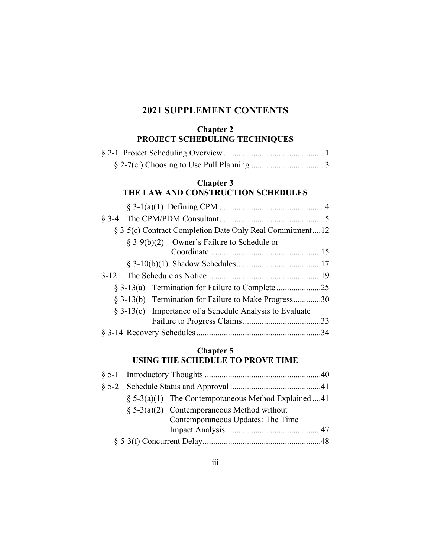# **2021 SUPPLEMENT CONTENTS**

## **Chapter 2 PROJECT SCHEDULING TECHNIQUES**

#### **Chapter 3 THE LAW AND CONSTRUCTION SCHEDULES**

| § 3-5(c) Contract Completion Date Only Real Commitment12   |  |
|------------------------------------------------------------|--|
| § 3-9(b)(2) Owner's Failure to Schedule or                 |  |
|                                                            |  |
|                                                            |  |
|                                                            |  |
|                                                            |  |
| § 3-13(b) Termination for Failure to Make Progress30       |  |
| $\S$ 3-13(c) Importance of a Schedule Analysis to Evaluate |  |
|                                                            |  |
|                                                            |  |

## **Chapter 5 USING THE SCHEDULE TO PROVE TIME**

|  | $\S$ 5-3(a)(1) The Contemporaneous Method Explained 41 |  |
|--|--------------------------------------------------------|--|
|  | $\S$ 5-3(a)(2) Contemporaneous Method without          |  |
|  | Contemporaneous Updates: The Time                      |  |
|  |                                                        |  |
|  |                                                        |  |